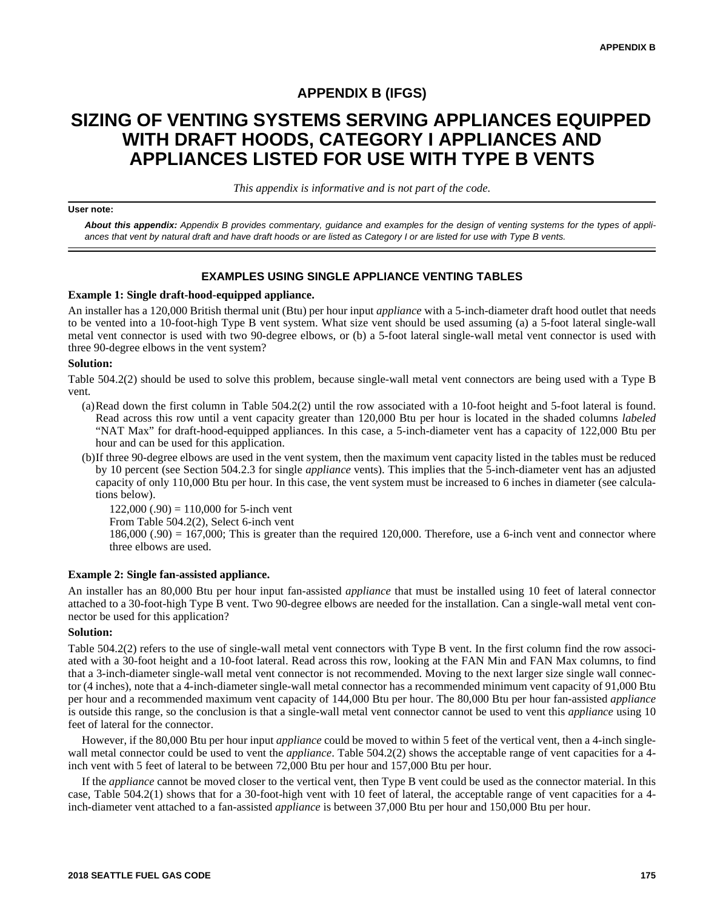# **APPENDIX B (IFGS)**

# **SIZING OF VENTING SYSTEMS SERVING APPLIANCES EQUIPPED WITH DRAFT HOODS, CATEGORY I APPLIANCES AND APPLIANCES LISTED FOR USE WITH TYPE B VENTS**

*This appendix is informative and is not part of the code.*

#### **User note:**

*About this appendix: Appendix B provides commentary, guidance and examples for the design of venting systems for the types of appliances that vent by natural draft and have draft hoods or are listed as Category I or are listed for use with Type B vents.*

### **EXAMPLES USING SINGLE APPLIANCE VENTING TABLES**

#### **Example 1: Single draft-hood-equipped appliance.**

An installer has a 120,000 British thermal unit (Btu) per hour input *appliance* with a 5-inch-diameter draft hood outlet that needs to be vented into a 10-foot-high Type B vent system. What size vent should be used assuming (a) a 5-foot lateral single-wall metal vent connector is used with two 90-degree elbows, or (b) a 5-foot lateral single-wall metal vent connector is used with three 90-degree elbows in the vent system?

#### **Solution:**

Table 504.2(2) should be used to solve this problem, because single-wall metal vent connectors are being used with a Type B vent.

- (a)Read down the first column in Table 504.2(2) until the row associated with a 10-foot height and 5-foot lateral is found. Read across this row until a vent capacity greater than 120,000 Btu per hour is located in the shaded columns *labeled* "NAT Max" for draft-hood-equipped appliances. In this case, a 5-inch-diameter vent has a capacity of 122,000 Btu per hour and can be used for this application.
- (b)If three 90-degree elbows are used in the vent system, then the maximum vent capacity listed in the tables must be reduced by 10 percent (see Section 504.2.3 for single *appliance* vents). This implies that the 5-inch-diameter vent has an adjusted capacity of only 110,000 Btu per hour. In this case, the vent system must be increased to 6 inches in diameter (see calculations below).

 $122,000$  (.90) = 110,000 for 5-inch vent

From Table 504.2(2), Select 6-inch vent

 $186,000$  (.90) = 167,000; This is greater than the required 120,000. Therefore, use a 6-inch vent and connector where three elbows are used.

#### **Example 2: Single fan-assisted appliance.**

An installer has an 80,000 Btu per hour input fan-assisted *appliance* that must be installed using 10 feet of lateral connector attached to a 30-foot-high Type B vent. Two 90-degree elbows are needed for the installation. Can a single-wall metal vent connector be used for this application?

### **Solution:**

Table 504.2(2) refers to the use of single-wall metal vent connectors with Type B vent. In the first column find the row associated with a 30-foot height and a 10-foot lateral. Read across this row, looking at the FAN Min and FAN Max columns, to find that a 3-inch-diameter single-wall metal vent connector is not recommended. Moving to the next larger size single wall connector (4 inches), note that a 4-inch-diameter single-wall metal connector has a recommended minimum vent capacity of 91,000 Btu per hour and a recommended maximum vent capacity of 144,000 Btu per hour. The 80,000 Btu per hour fan-assisted *appliance* is outside this range, so the conclusion is that a single-wall metal vent connector cannot be used to vent this *appliance* using 10 feet of lateral for the connector.

However, if the 80,000 Btu per hour input *appliance* could be moved to within 5 feet of the vertical vent, then a 4-inch singlewall metal connector could be used to vent the *appliance*. Table 504.2(2) shows the acceptable range of vent capacities for a 4 inch vent with 5 feet of lateral to be between 72,000 Btu per hour and 157,000 Btu per hour.

If the *appliance* cannot be moved closer to the vertical vent, then Type B vent could be used as the connector material. In this case, Table 504.2(1) shows that for a 30-foot-high vent with 10 feet of lateral, the acceptable range of vent capacities for a 4 inch-diameter vent attached to a fan-assisted *appliance* is between 37,000 Btu per hour and 150,000 Btu per hour.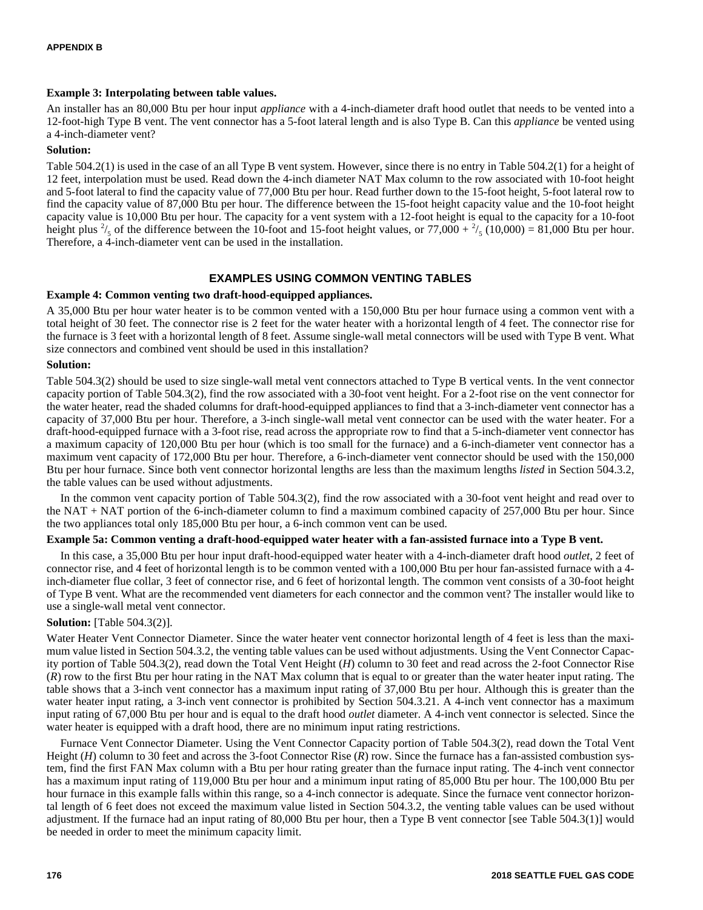### **Example 3: Interpolating between table values.**

An installer has an 80,000 Btu per hour input *appliance* with a 4-inch-diameter draft hood outlet that needs to be vented into a 12-foot-high Type B vent. The vent connector has a 5-foot lateral length and is also Type B. Can this *appliance* be vented using a 4-inch-diameter vent?

## **Solution:**

Table 504.2(1) is used in the case of an all Type B vent system. However, since there is no entry in Table 504.2(1) for a height of 12 feet, interpolation must be used. Read down the 4-inch diameter NAT Max column to the row associated with 10-foot height and 5-foot lateral to find the capacity value of 77,000 Btu per hour. Read further down to the 15-foot height, 5-foot lateral row to find the capacity value of 87,000 Btu per hour. The difference between the 15-foot height capacity value and the 10-foot height capacity value is 10,000 Btu per hour. The capacity for a vent system with a 12-foot height is equal to the capacity for a 10-foot height plus  $\frac{2}{5}$  of the difference between the 10-foot and 15-foot height values, or  $77,000 + \frac{2}{5}$  (10,000) = 81,000 Btu per hour. Therefore, a 4-inch-diameter vent can be used in the installation.

# **EXAMPLES USING COMMON VENTING TABLES**

## **Example 4: Common venting two draft-hood-equipped appliances.**

A 35,000 Btu per hour water heater is to be common vented with a 150,000 Btu per hour furnace using a common vent with a total height of 30 feet. The connector rise is 2 feet for the water heater with a horizontal length of 4 feet. The connector rise for the furnace is 3 feet with a horizontal length of 8 feet. Assume single-wall metal connectors will be used with Type B vent. What size connectors and combined vent should be used in this installation?

## **Solution:**

Table 504.3(2) should be used to size single-wall metal vent connectors attached to Type B vertical vents. In the vent connector capacity portion of Table 504.3(2), find the row associated with a 30-foot vent height. For a 2-foot rise on the vent connector for the water heater, read the shaded columns for draft-hood-equipped appliances to find that a 3-inch-diameter vent connector has a capacity of 37,000 Btu per hour. Therefore, a 3-inch single-wall metal vent connector can be used with the water heater. For a draft-hood-equipped furnace with a 3-foot rise, read across the appropriate row to find that a 5-inch-diameter vent connector has a maximum capacity of 120,000 Btu per hour (which is too small for the furnace) and a 6-inch-diameter vent connector has a maximum vent capacity of 172,000 Btu per hour. Therefore, a 6-inch-diameter vent connector should be used with the 150,000 Btu per hour furnace. Since both vent connector horizontal lengths are less than the maximum lengths *listed* in Section 504.3.2, the table values can be used without adjustments.

In the common vent capacity portion of Table 504.3(2), find the row associated with a 30-foot vent height and read over to the NAT + NAT portion of the 6-inch-diameter column to find a maximum combined capacity of 257,000 Btu per hour. Since the two appliances total only 185,000 Btu per hour, a 6-inch common vent can be used.

# **Example 5a: Common venting a draft-hood-equipped water heater with a fan-assisted furnace into a Type B vent.**

In this case, a 35,000 Btu per hour input draft-hood-equipped water heater with a 4-inch-diameter draft hood *outlet*, 2 feet of connector rise, and 4 feet of horizontal length is to be common vented with a 100,000 Btu per hour fan-assisted furnace with a 4 inch-diameter flue collar, 3 feet of connector rise, and 6 feet of horizontal length. The common vent consists of a 30-foot height of Type B vent. What are the recommended vent diameters for each connector and the common vent? The installer would like to use a single-wall metal vent connector.

# **Solution:** [Table 504.3(2)].

Water Heater Vent Connector Diameter. Since the water heater vent connector horizontal length of 4 feet is less than the maximum value listed in Section 504.3.2, the venting table values can be used without adjustments. Using the Vent Connector Capacity portion of Table 504.3(2), read down the Total Vent Height (*H*) column to 30 feet and read across the 2-foot Connector Rise (*R*) row to the first Btu per hour rating in the NAT Max column that is equal to or greater than the water heater input rating. The table shows that a 3-inch vent connector has a maximum input rating of 37,000 Btu per hour. Although this is greater than the water heater input rating, a 3-inch vent connector is prohibited by Section 504.3.21. A 4-inch vent connector has a maximum input rating of 67,000 Btu per hour and is equal to the draft hood *outlet* diameter. A 4-inch vent connector is selected. Since the water heater is equipped with a draft hood, there are no minimum input rating restrictions.

Furnace Vent Connector Diameter. Using the Vent Connector Capacity portion of Table 504.3(2), read down the Total Vent Height (*H*) column to 30 feet and across the 3-foot Connector Rise (*R*) row. Since the furnace has a fan-assisted combustion system, find the first FAN Max column with a Btu per hour rating greater than the furnace input rating. The 4-inch vent connector has a maximum input rating of 119,000 Btu per hour and a minimum input rating of 85,000 Btu per hour. The 100,000 Btu per hour furnace in this example falls within this range, so a 4-inch connector is adequate. Since the furnace vent connector horizontal length of 6 feet does not exceed the maximum value listed in Section 504.3.2, the venting table values can be used without adjustment. If the furnace had an input rating of 80,000 Btu per hour, then a Type B vent connector [see Table 504.3(1)] would be needed in order to meet the minimum capacity limit.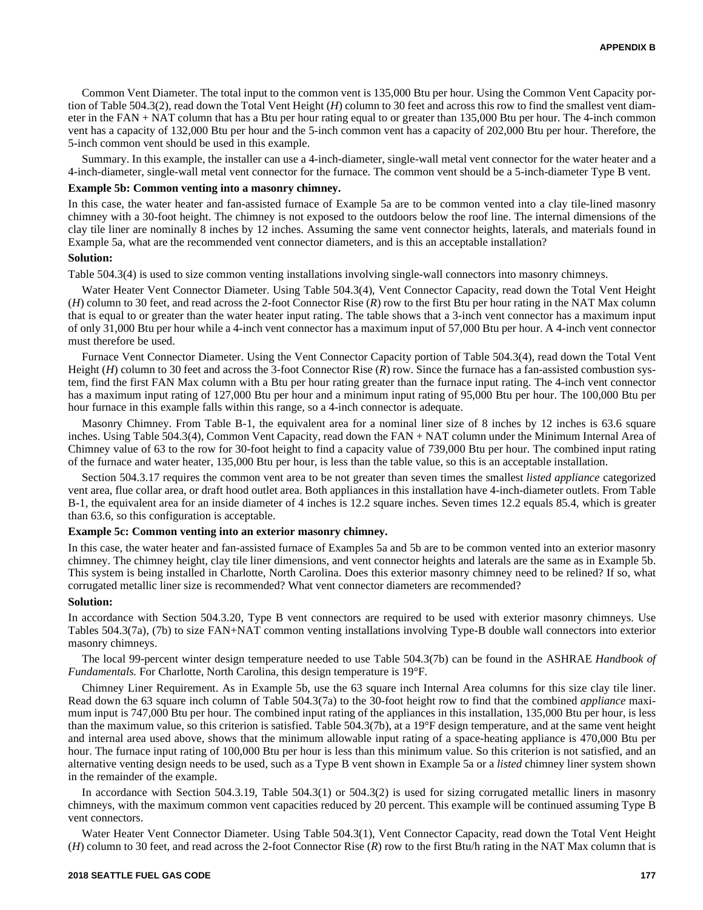Common Vent Diameter. The total input to the common vent is 135,000 Btu per hour. Using the Common Vent Capacity portion of Table 504.3(2), read down the Total Vent Height (*H*) column to 30 feet and across this row to find the smallest vent diameter in the FAN + NAT column that has a Btu per hour rating equal to or greater than 135,000 Btu per hour. The 4-inch common vent has a capacity of 132,000 Btu per hour and the 5-inch common vent has a capacity of 202,000 Btu per hour. Therefore, the 5-inch common vent should be used in this example.

Summary. In this example, the installer can use a 4-inch-diameter, single-wall metal vent connector for the water heater and a 4-inch-diameter, single-wall metal vent connector for the furnace. The common vent should be a 5-inch-diameter Type B vent.

#### **Example 5b: Common venting into a masonry chimney.**

In this case, the water heater and fan-assisted furnace of Example 5a are to be common vented into a clay tile-lined masonry chimney with a 30-foot height. The chimney is not exposed to the outdoors below the roof line. The internal dimensions of the clay tile liner are nominally 8 inches by 12 inches. Assuming the same vent connector heights, laterals, and materials found in Example 5a, what are the recommended vent connector diameters, and is this an acceptable installation?

#### **Solution:**

Table 504.3(4) is used to size common venting installations involving single-wall connectors into masonry chimneys.

Water Heater Vent Connector Diameter. Using Table 504.3(4), Vent Connector Capacity, read down the Total Vent Height (*H*) column to 30 feet, and read across the 2-foot Connector Rise (*R*) row to the first Btu per hour rating in the NAT Max column that is equal to or greater than the water heater input rating. The table shows that a 3-inch vent connector has a maximum input of only 31,000 Btu per hour while a 4-inch vent connector has a maximum input of 57,000 Btu per hour. A 4-inch vent connector must therefore be used.

Furnace Vent Connector Diameter. Using the Vent Connector Capacity portion of Table 504.3(4), read down the Total Vent Height (*H*) column to 30 feet and across the 3-foot Connector Rise (*R*) row. Since the furnace has a fan-assisted combustion system, find the first FAN Max column with a Btu per hour rating greater than the furnace input rating. The 4-inch vent connector has a maximum input rating of 127,000 Btu per hour and a minimum input rating of 95,000 Btu per hour. The 100,000 Btu per hour furnace in this example falls within this range, so a 4-inch connector is adequate.

Masonry Chimney. From Table B-1, the equivalent area for a nominal liner size of 8 inches by 12 inches is 63.6 square inches. Using Table 504.3(4), Common Vent Capacity, read down the FAN + NAT column under the Minimum Internal Area of Chimney value of 63 to the row for 30-foot height to find a capacity value of 739,000 Btu per hour. The combined input rating of the furnace and water heater, 135,000 Btu per hour, is less than the table value, so this is an acceptable installation.

Section 504.3.17 requires the common vent area to be not greater than seven times the smallest *listed appliance* categorized vent area, flue collar area, or draft hood outlet area. Both appliances in this installation have 4-inch-diameter outlets. From Table B-1, the equivalent area for an inside diameter of 4 inches is 12.2 square inches. Seven times 12.2 equals 85.4, which is greater than 63.6, so this configuration is acceptable.

### **Example 5c: Common venting into an exterior masonry chimney.**

In this case, the water heater and fan-assisted furnace of Examples 5a and 5b are to be common vented into an exterior masonry chimney. The chimney height, clay tile liner dimensions, and vent connector heights and laterals are the same as in Example 5b. This system is being installed in Charlotte, North Carolina. Does this exterior masonry chimney need to be relined? If so, what corrugated metallic liner size is recommended? What vent connector diameters are recommended?

#### **Solution:**

In accordance with Section 504.3.20, Type B vent connectors are required to be used with exterior masonry chimneys. Use Tables 504.3(7a), (7b) to size FAN+NAT common venting installations involving Type-B double wall connectors into exterior masonry chimneys.

The local 99-percent winter design temperature needed to use Table 504.3(7b) can be found in the ASHRAE *Handbook of Fundamentals.* For Charlotte, North Carolina, this design temperature is 19°F.

Chimney Liner Requirement. As in Example 5b, use the 63 square inch Internal Area columns for this size clay tile liner. Read down the 63 square inch column of Table 504.3(7a) to the 30-foot height row to find that the combined *appliance* maximum input is 747,000 Btu per hour. The combined input rating of the appliances in this installation, 135,000 Btu per hour, is less than the maximum value, so this criterion is satisfied. Table 504.3(7b), at a 19°F design temperature, and at the same vent height and internal area used above, shows that the minimum allowable input rating of a space-heating appliance is 470,000 Btu per hour. The furnace input rating of 100,000 Btu per hour is less than this minimum value. So this criterion is not satisfied, and an alternative venting design needs to be used, such as a Type B vent shown in Example 5a or a *listed* chimney liner system shown in the remainder of the example.

In accordance with Section 504.3.19, Table 504.3(1) or 504.3(2) is used for sizing corrugated metallic liners in masonry chimneys, with the maximum common vent capacities reduced by 20 percent. This example will be continued assuming Type B vent connectors.

Water Heater Vent Connector Diameter. Using Table 504.3(1), Vent Connector Capacity, read down the Total Vent Height (*H*) column to 30 feet, and read across the 2-foot Connector Rise (*R*) row to the first Btu/h rating in the NAT Max column that is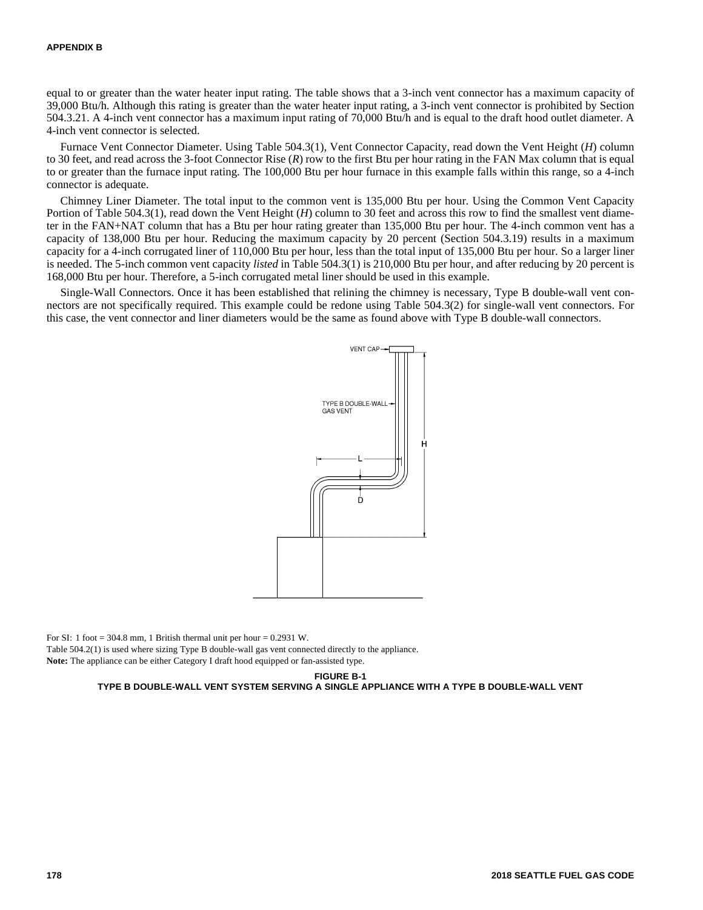equal to or greater than the water heater input rating. The table shows that a 3-inch vent connector has a maximum capacity of 39,000 Btu/h. Although this rating is greater than the water heater input rating, a 3-inch vent connector is prohibited by Section 504.3.21. A 4-inch vent connector has a maximum input rating of 70,000 Btu/h and is equal to the draft hood outlet diameter. A 4-inch vent connector is selected.

Furnace Vent Connector Diameter. Using Table 504.3(1), Vent Connector Capacity, read down the Vent Height (*H*) column to 30 feet, and read across the 3-foot Connector Rise (*R*) row to the first Btu per hour rating in the FAN Max column that is equal to or greater than the furnace input rating. The 100,000 Btu per hour furnace in this example falls within this range, so a 4-inch connector is adequate.

Chimney Liner Diameter. The total input to the common vent is 135,000 Btu per hour. Using the Common Vent Capacity Portion of Table 504.3(1), read down the Vent Height (*H*) column to 30 feet and across this row to find the smallest vent diameter in the FAN+NAT column that has a Btu per hour rating greater than 135,000 Btu per hour. The 4-inch common vent has a capacity of 138,000 Btu per hour. Reducing the maximum capacity by 20 percent (Section 504.3.19) results in a maximum capacity for a 4-inch corrugated liner of 110,000 Btu per hour, less than the total input of 135,000 Btu per hour. So a larger liner is needed. The 5-inch common vent capacity *listed* in Table 504.3(1) is 210,000 Btu per hour, and after reducing by 20 percent is 168,000 Btu per hour. Therefore, a 5-inch corrugated metal liner should be used in this example.

Single-Wall Connectors. Once it has been established that relining the chimney is necessary, Type B double-wall vent connectors are not specifically required. This example could be redone using Table 504.3(2) for single-wall vent connectors. For this case, the vent connector and liner diameters would be the same as found above with Type B double-wall connectors.



For SI: 1 foot = 304.8 mm, 1 British thermal unit per hour =  $0.2931$  W. Table 504.2(1) is used where sizing Type B double-wall gas vent connected directly to the appliance. **Note:** The appliance can be either Category I draft hood equipped or fan-assisted type.

**FIGURE B-1**

**TYPE B DOUBLE-WALL VENT SYSTEM SERVING A SINGLE APPLIANCE WITH A TYPE B DOUBLE-WALL VENT**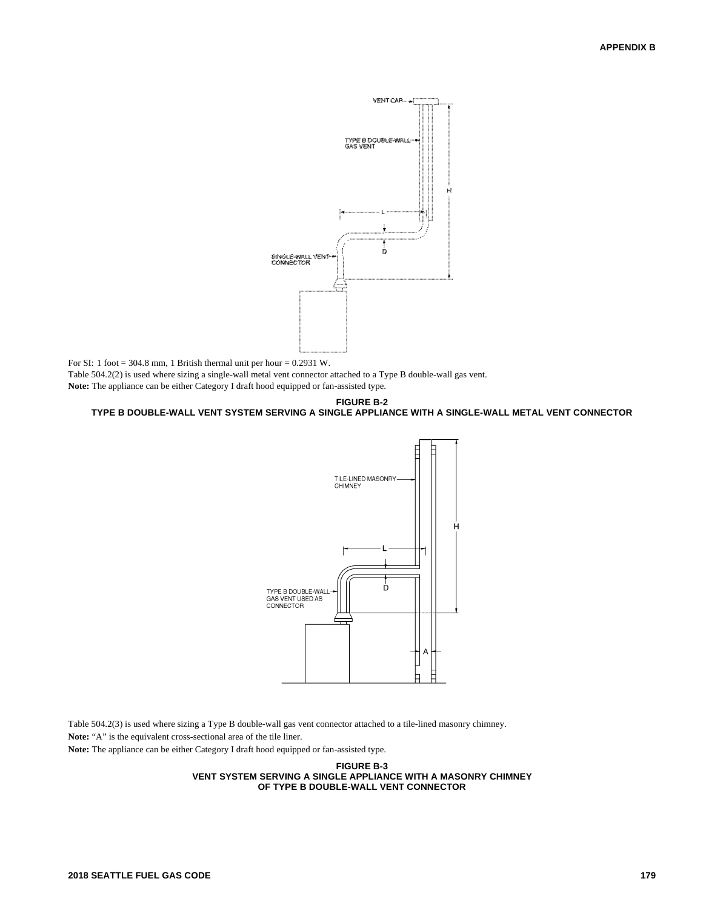

For SI: 1 foot = 304.8 mm, 1 British thermal unit per hour =  $0.2931$  W.

Table 504.2(2) is used where sizing a single-wall metal vent connector attached to a Type B double-wall gas vent.

**Note:** The appliance can be either Category I draft hood equipped or fan-assisted type.

#### **FIGURE B-2 TYPE B DOUBLE-WALL VENT SYSTEM SERVING A SINGLE APPLIANCE WITH A SINGLE-WALL METAL VENT CONNECTOR**



Table 504.2(3) is used where sizing a Type B double-wall gas vent connector attached to a tile-lined masonry chimney.

**Note:** "A" is the equivalent cross-sectional area of the tile liner.

**Note:** The appliance can be either Category I draft hood equipped or fan-assisted type.

#### **FIGURE B-3 VENT SYSTEM SERVING A SINGLE APPLIANCE WITH A MASONRY CHIMNEY OF TYPE B DOUBLE-WALL VENT CONNECTOR**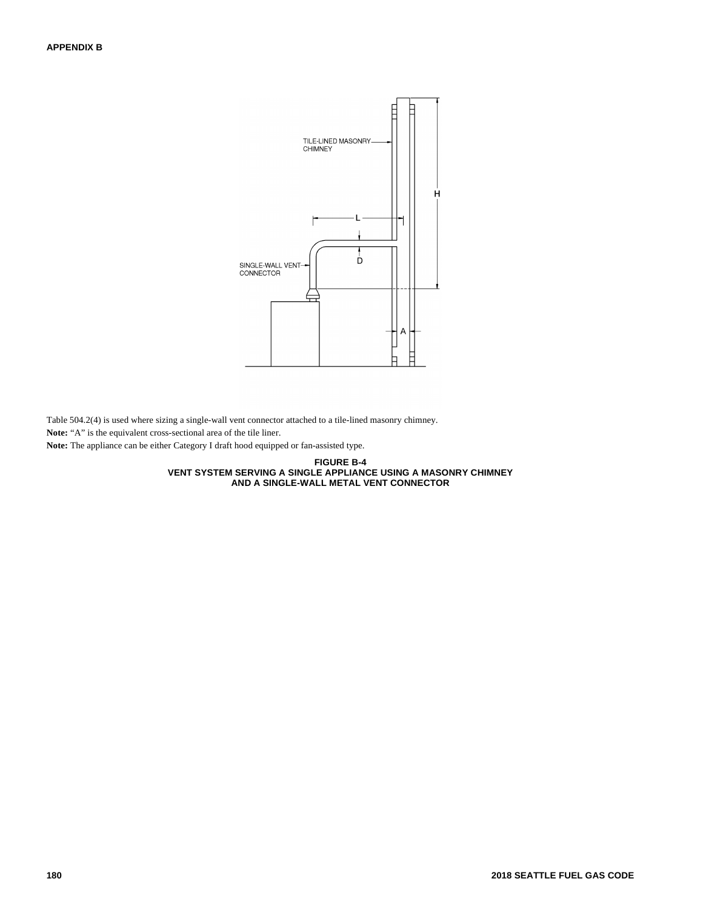

Table 504.2(4) is used where sizing a single-wall vent connector attached to a tile-lined masonry chimney.

**Note:** "A" is the equivalent cross-sectional area of the tile liner.

**Note:** The appliance can be either Category I draft hood equipped or fan-assisted type.

**FIGURE B-4 VENT SYSTEM SERVING A SINGLE APPLIANCE USING A MASONRY CHIMNEY AND A SINGLE-WALL METAL VENT CONNECTOR**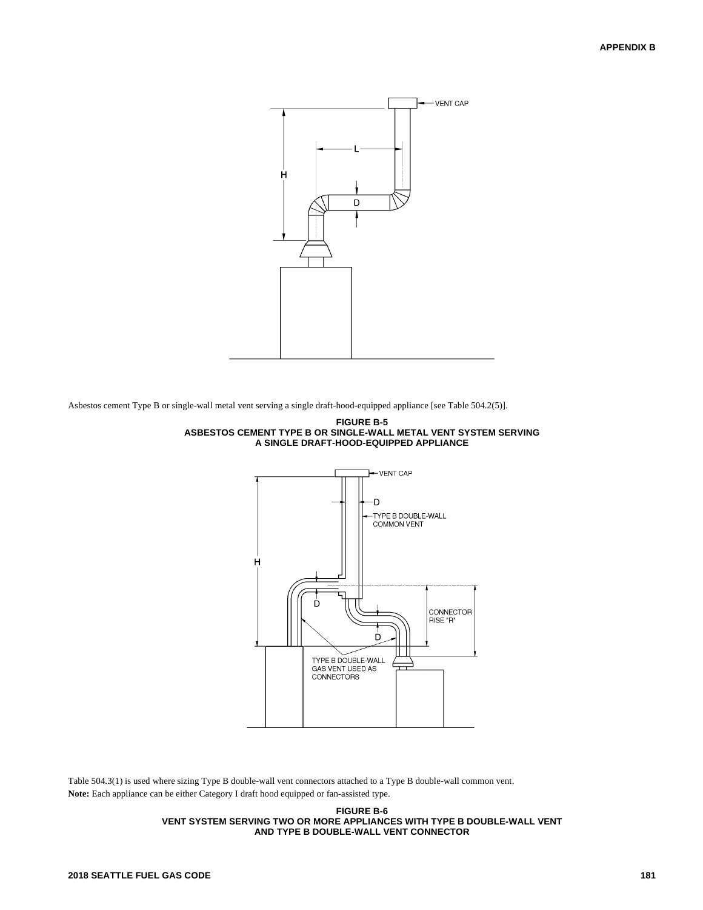

Asbestos cement Type B or single-wall metal vent serving a single draft-hood-equipped appliance [see Table 504.2(5)].





Table 504.3(1) is used where sizing Type B double-wall vent connectors attached to a Type B double-wall common vent. **Note:** Each appliance can be either Category I draft hood equipped or fan-assisted type.

> **FIGURE B-6 VENT SYSTEM SERVING TWO OR MORE APPLIANCES WITH TYPE B DOUBLE-WALL VENT AND TYPE B DOUBLE-WALL VENT CONNECTOR**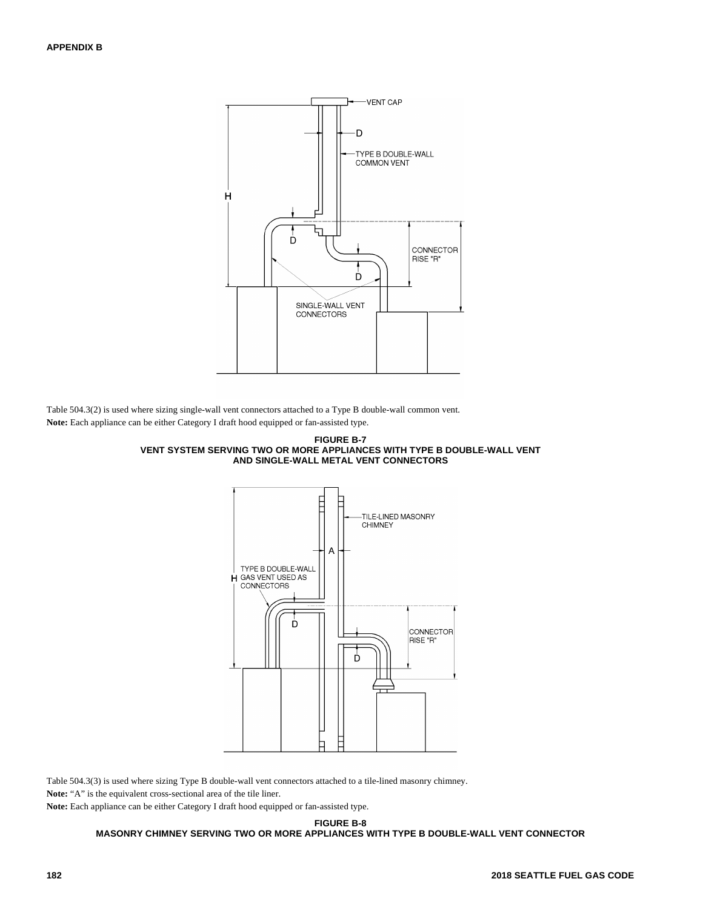

Table 504.3(2) is used where sizing single-wall vent connectors attached to a Type B double-wall common vent. **Note:** Each appliance can be either Category I draft hood equipped or fan-assisted type.





Table 504.3(3) is used where sizing Type B double-wall vent connectors attached to a tile-lined masonry chimney.

**Note:** "A" is the equivalent cross-sectional area of the tile liner.

**Note:** Each appliance can be either Category I draft hood equipped or fan-assisted type.

**FIGURE B-8**

**MASONRY CHIMNEY SERVING TWO OR MORE APPLIANCES WITH TYPE B DOUBLE-WALL VENT CONNECTOR**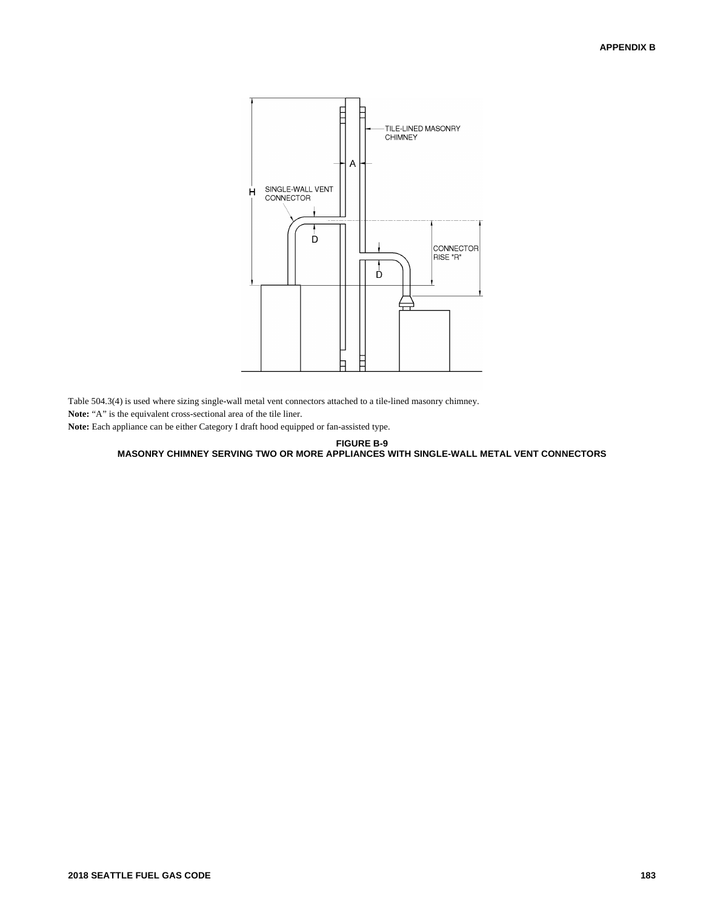

Table 504.3(4) is used where sizing single-wall metal vent connectors attached to a tile-lined masonry chimney.

**Note:** "A" is the equivalent cross-sectional area of the tile liner.

**Note:** Each appliance can be either Category I draft hood equipped or fan-assisted type.

**FIGURE B-9 MASONRY CHIMNEY SERVING TWO OR MORE APPLIANCES WITH SINGLE-WALL METAL VENT CONNECTORS**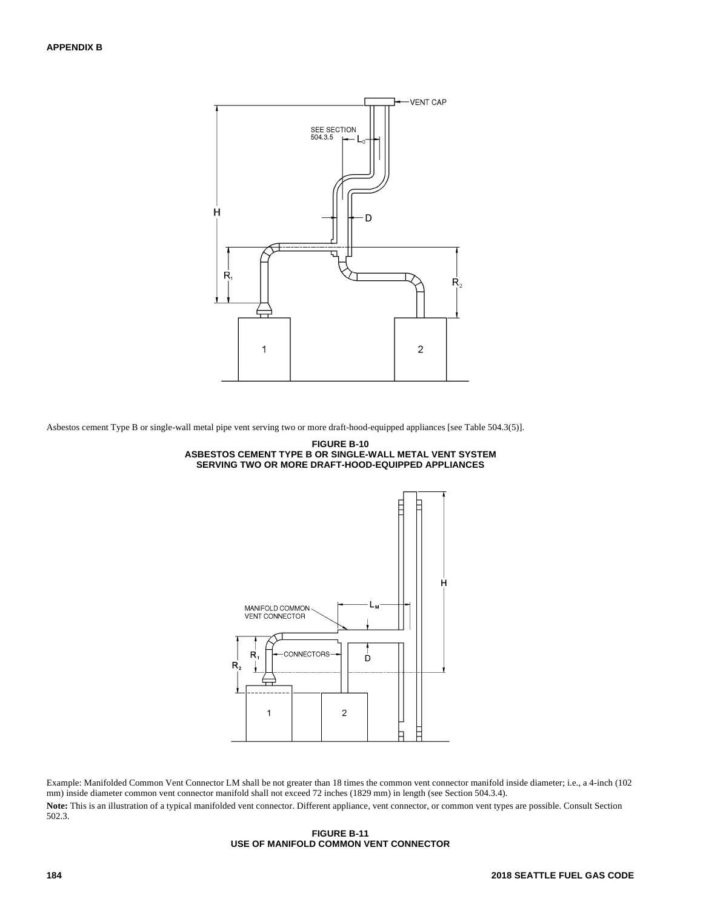

Asbestos cement Type B or single-wall metal pipe vent serving two or more draft-hood-equipped appliances [see Table 504.3(5)].





Example: Manifolded Common Vent Connector LM shall be not greater than 18 times the common vent connector manifold inside diameter; i.e., a 4-inch (102 mm) inside diameter common vent connector manifold shall not exceed 72 inches (1829 mm) in length (see Section 504.3.4).

Note: This is an illustration of a typical manifolded vent connector. Different appliance, vent connector, or common vent types are possible. Consult Section 502.3.

#### **FIGURE B-11 USE OF MANIFOLD COMMON VENT CONNECTOR**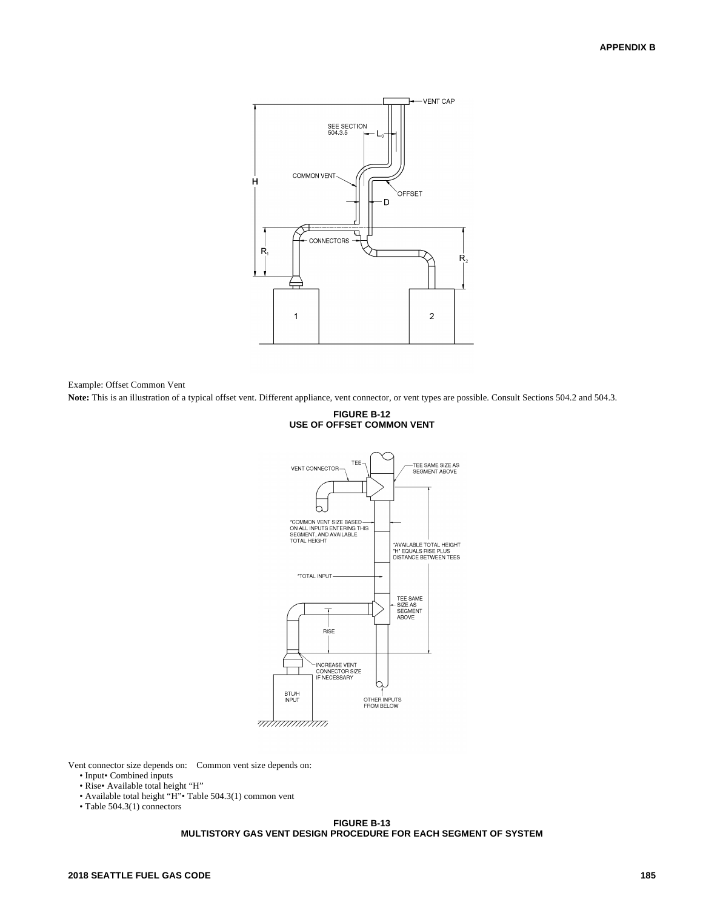

Example: Offset Common Vent

**Note:** This is an illustration of a typical offset vent. Different appliance, vent connector, or vent types are possible. Consult Sections 504.2 and 504.3.



Vent connector size depends on: Common vent size depends on:

- Input• Combined inputs
- Rise• Available total height "H"
- Available total height "H"• Table 504.3(1) common vent
- Table 504.3(1) connectors

#### **FIGURE B-13 MULTISTORY GAS VENT DESIGN PROCEDURE FOR EACH SEGMENT OF SYSTEM**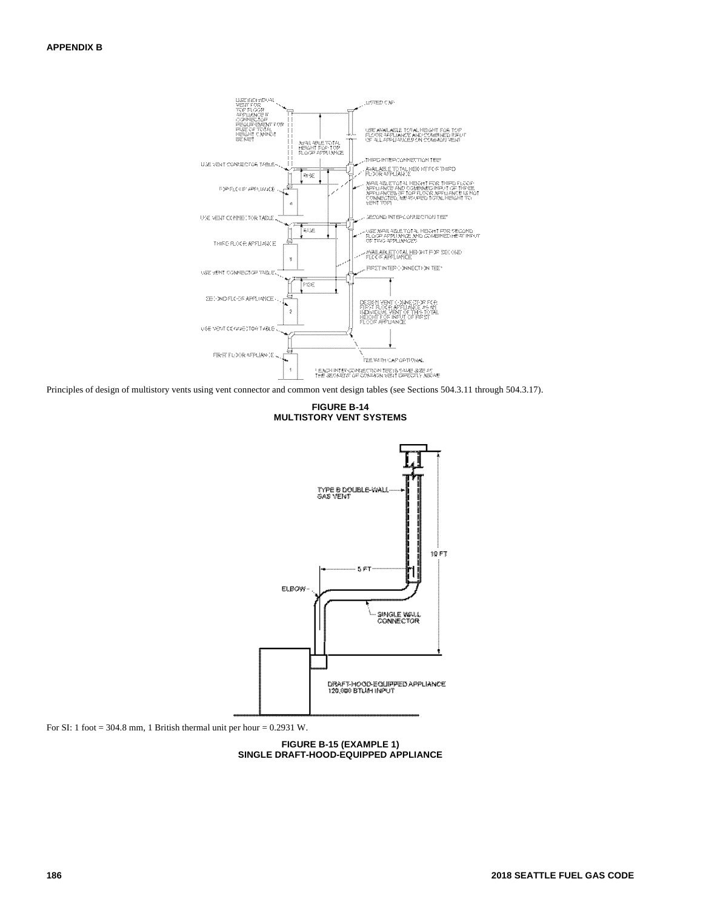

Principles of design of multistory vents using vent connector and common vent design tables (see Sections 504.3.11 through 504.3.17).

**FIGURE B-14 MULTISTORY VENT SYSTEMS**



For SI: 1 foot = 304.8 mm, 1 British thermal unit per hour =  $0.2931$  W.

**FIGURE B-15 (EXAMPLE 1) SINGLE DRAFT-HOOD-EQUIPPED APPLIANCE**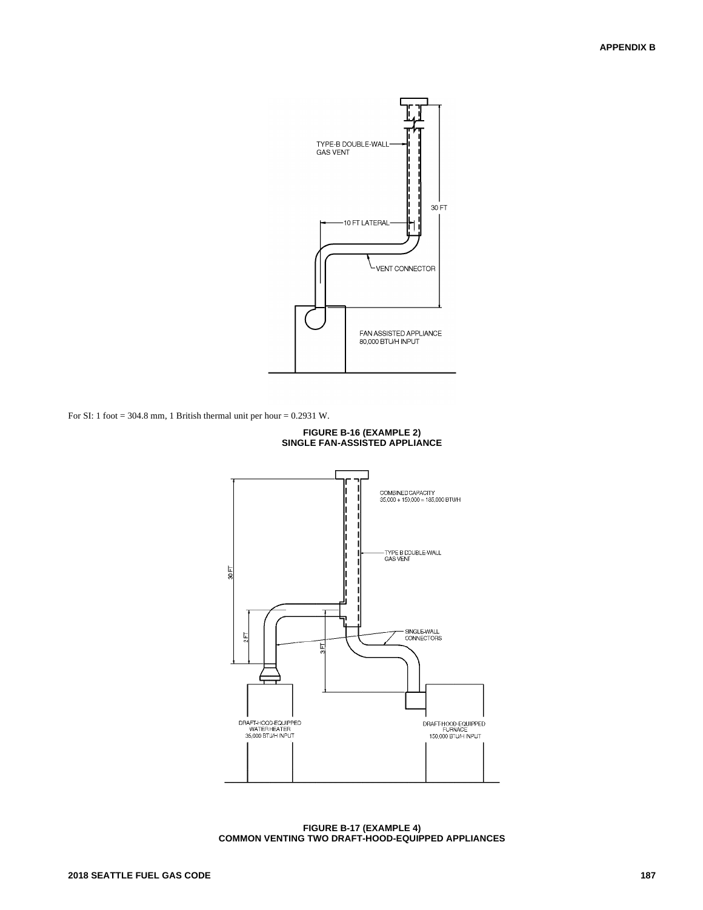

For SI: 1 foot = 304.8 mm, 1 British thermal unit per hour =  $0.2931$  W.



**FIGURE B-16 (EXAMPLE 2) SINGLE FAN-ASSISTED APPLIANCE**

**FIGURE B-17 (EXAMPLE 4) COMMON VENTING TWO DRAFT-HOOD-EQUIPPED APPLIANCES**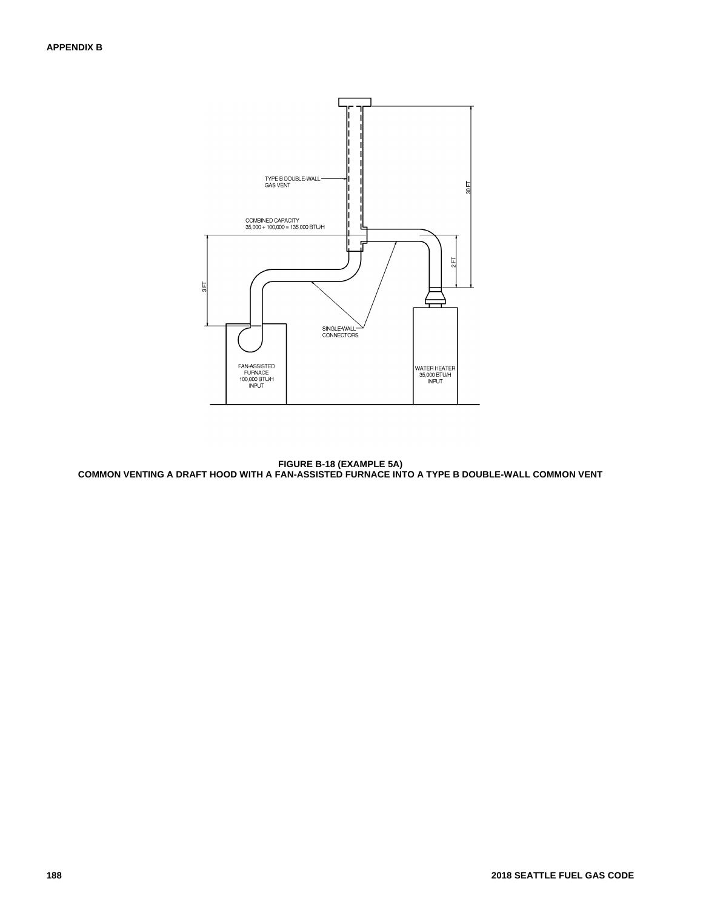

**FIGURE B-18 (EXAMPLE 5A) COMMON VENTING A DRAFT HOOD WITH A FAN-ASSISTED FURNACE INTO A TYPE B DOUBLE-WALL COMMON VENT**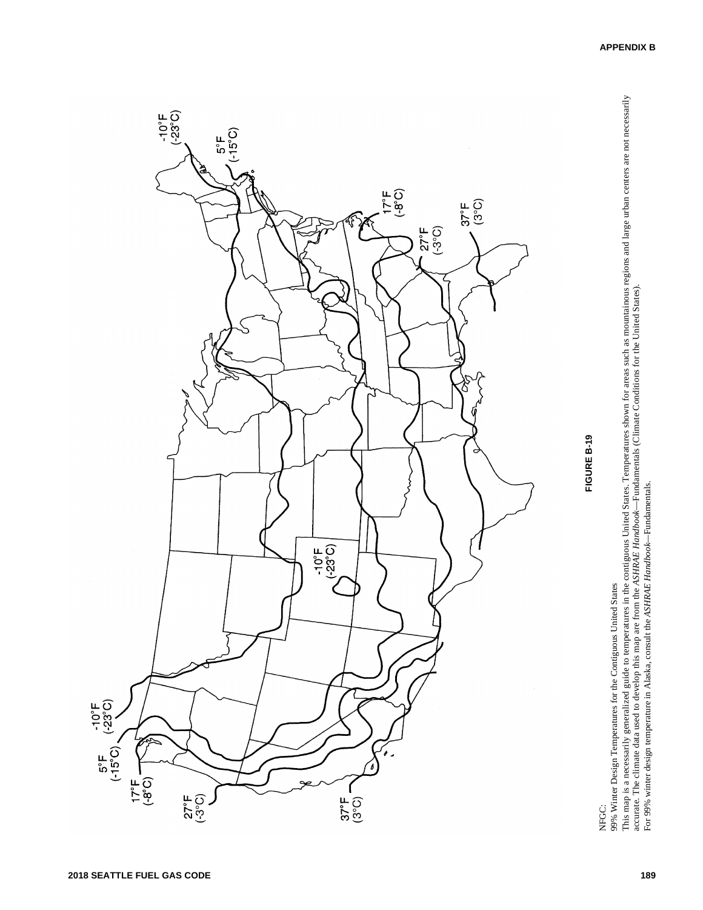